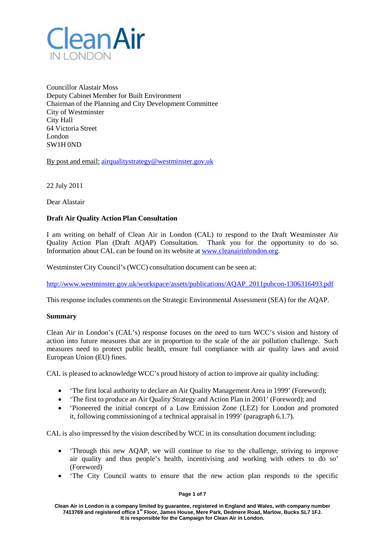

Councillor Alastair Moss Deputy Cabinet Member for Built Environment Chairman of the Planning and City Development Committee City of Westminster City Hall 64 Victoria Street London SW1H 0ND

By post and email: [airqualitystrategy@westminster.gov.uk](mailto:airqualitystrategy@westminster.gov.uk)

22 July 2011

Dear Alastair

# **Draft Air Quality Action Plan Consultation**

I am writing on behalf of Clean Air in London (CAL) to respond to the Draft Westminster Air Quality Action Plan (Draft AQAP) Consultation. Thank you for the opportunity to do so. Information about CAL can be found on its website at [www.cleanairinlondon.org.](http://www.cleanairinlondon.org/)

Westminster City Council's (WCC) consultation document can be seen at:

[http://www.westminster.gov.uk/workspace/assets/publications/AQAP\\_2011pubcon-1306316493.pdf](http://www.westminster.gov.uk/workspace/assets/publications/AQAP_2011pubcon-1306316493.pdf)

This response includes comments on the Strategic Environmental Assessment (SEA) for the AQAP.

## **Summary**

Clean Air in London's (CAL's) response focuses on the need to turn WCC's vision and history of action into future measures that are in proportion to the scale of the air pollution challenge. Such measures need to protect public health, ensure full compliance with air quality laws and avoid European Union (EU) fines.

CAL is pleased to acknowledge WCC's proud history of action to improve air quality including:

- The first local authority to declare an Air Quality Management Area in 1999' (Foreword);
- The first to produce an Air Quality Strategy and Action Plan in 2001' (Foreword); and
- Pioneered the initial concept of a Low Emission Zone (LEZ) for London and promoted it, following commissioning of a technical appraisal in 1999' (paragraph 6.1.7).

CAL is also impressed by the vision described by WCC in its consultation document including:

- 'Through this new AQAP, we will continue to rise to the challenge, striving to improve air quality and thus people's health, incentivising and working with others to do so' (Foreword)
- The City Council wants to ensure that the new action plan responds to the specific

**Page 1 of 7**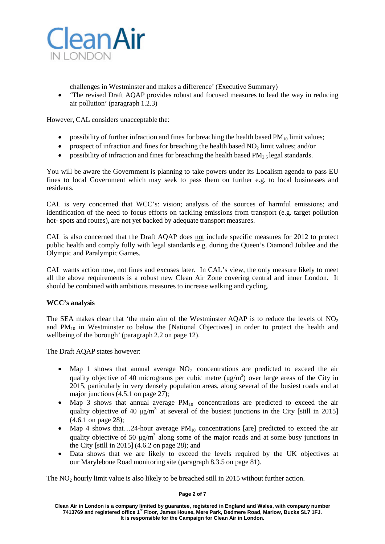

challenges in Westminster and makes a difference' (Executive Summary)

• The revised Draft AQAP provides robust and focused measures to lead the way in reducing air pollution' (paragraph 1.2.3)

However, CAL considers unacceptable the:

- possibility of further infraction and fines for breaching the health based  $PM_{10}$  limit values;
- prospect of infraction and fines for breaching the health based  $NO<sub>2</sub>$  limit values; and/or
- possibility of infraction and fines for breaching the health based  $PM_{2.5}$  legal standards.

You will be aware the Government is planning to take powers under its Localism agenda to pass EU fines to local Government which may seek to pass them on further e.g. to local businesses and residents.

CAL is very concerned that WCC's: vision; analysis of the sources of harmful emissions; and identification of the need to focus efforts on tackling emissions from transport (e.g. target pollution hot- spots and routes), are not yet backed by adequate transport measures.

CAL is also concerned that the Draft AQAP does not include specific measures for 2012 to protect public health and comply fully with legal standards e.g. during the Queen's Diamond Jubilee and the Olympic and Paralympic Games.

CAL wants action now, not fines and excuses later. In CAL's view, the only measure likely to meet all the above requirements is a robust new Clean Air Zone covering central and inner London. It should be combined with ambitious measures to increase walking and cycling.

## **WCC's analysis**

The SEA makes clear that 'the main aim of the Westminster AOAP is to reduce the levels of  $NO<sub>2</sub>$ and  $PM_{10}$  in Westminster to below the [National Objectives] in order to protect the health and wellbeing of the borough' (paragraph 2.2 on page 12).

The Draft AQAP states however:

- Map 1 shows that annual average  $NO<sub>2</sub>$  concentrations are predicted to exceed the air quality objective of 40 micrograms per cubic metre  $(\mu g/m^3)$  over large areas of the City in 2015, particularly in very densely population areas, along several of the busiest roads and at major junctions (4.5.1 on page 27);
- Map 3 shows that annual average  $PM_{10}$  concentrations are predicted to exceed the air quality objective of 40  $\mu$ g/m<sup>3</sup> at several of the busiest junctions in the City [still in 2015] (4.6.1 on page 28);
- Map 4 shows that...24-hour average  $PM_{10}$  concentrations [are] predicted to exceed the air quality objective of 50  $\mu$ g/m<sup>3</sup> along some of the major roads and at some busy junctions in the City [still in 2015] (4.6.2 on page 28); and
- Data shows that we are likely to exceed the levels required by the UK objectives at our Marylebone Road monitoring site (paragraph 8.3.5 on page 81).

The  $NO<sub>2</sub>$  hourly limit value is also likely to be breached still in 2015 without further action.

#### **Page 2 of 7**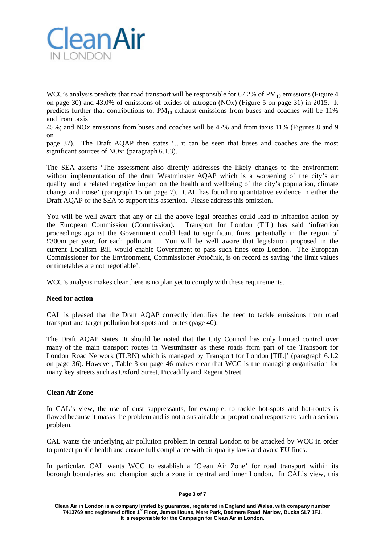

WCC's analysis predicts that road transport will be responsible for  $67.2\%$  of PM<sub>10</sub> emissions (Figure 4 on page 30) and 43.0% of emissions of oxides of nitrogen (NOx) (Figure 5 on page 31) in 2015. It predicts further that contributions to:  $PM_{10}$  exhaust emissions from buses and coaches will be 11% and from taxis

45%; and NOx emissions from buses and coaches will be 47% and from taxis 11% (Figures 8 and 9 on

page 37). The Draft AQAP then states '…it can be seen that buses and coaches are the most significant sources of NOx' (paragraph 6.1.3).

The SEA asserts 'The assessment also directly addresses the likely changes to the environment without implementation of the draft Westminster AQAP which is a worsening of the city's air quality and a related negative impact on the health and wellbeing of the city's population, climate change and noise' (paragraph 15 on page 7). CAL has found no quantitative evidence in either the Draft AQAP or the SEA to support this assertion. Please address this omission.

You will be well aware that any or all the above legal breaches could lead to infraction action by the European Commission (Commission). Transport for London (TfL) has said 'infraction proceedings against the Government could lead to significant fines, potentially in the region of £300m per year, for each pollutant'. You will be well aware that legislation proposed in the current Localism Bill would enable Government to pass such fines onto London. The European Commissioner for the Environment, Commissioner Potočnik, is on record as saying 'the limit values or timetables are not negotiable'.

WCC's analysis makes clear there is no plan yet to comply with these requirements.

## **Need for action**

CAL is pleased that the Draft AQAP correctly identifies the need to tackle emissions from road transport and target pollution hot-spots and routes (page 40).

The Draft AQAP states 'It should be noted that the City Council has only limited control over many of the main transport routes in Westminster as these roads form part of the Transport for London Road Network (TLRN) which is managed by Transport for London [TfL]' (paragraph 6.1.2 on page 36). However, Table 3 on page 46 makes clear that WCC is the managing organisation for many key streets such as Oxford Street, Piccadilly and Regent Street.

## **Clean Air Zone**

In CAL's view, the use of dust suppressants, for example, to tackle hot-spots and hot-routes is flawed because it masks the problem and is not a sustainable or proportional response to such a serious problem.

CAL wants the underlying air pollution problem in central London to be attacked by WCC in order to protect public health and ensure full compliance with air quality laws and avoid EU fines.

In particular, CAL wants WCC to establish a 'Clean Air Zone' for road transport within its borough boundaries and champion such a zone in central and inner London. In CAL's view, this

#### **Page 3 of 7**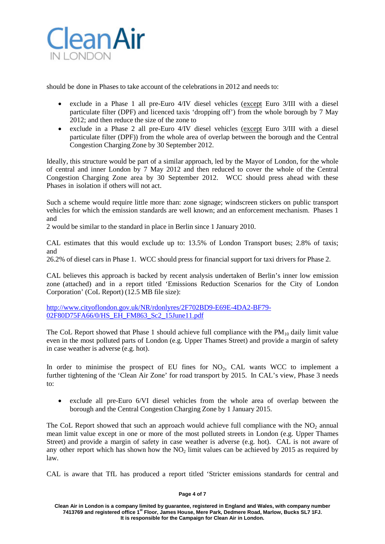

should be done in Phases to take account of the celebrationsin 2012 and needs to:

- exclude in a Phase 1 all pre-Euro 4/IV diesel vehicles (except Euro 3/III with a diesel particulate filter (DPF) and licenced taxis 'dropping off') from the whole borough by 7 May 2012; and then reduce the size of the zone to
- exclude in a Phase 2 all pre-Euro 4/IV diesel vehicles (except Euro 3/III with a diesel particulate filter (DPF)) from the whole area of overlap between the borough and the Central Congestion Charging Zone by 30 September 2012.

Ideally, this structure would be part of a similar approach, led by the Mayor of London, for the whole of central and inner London by 7 May 2012 and then reduced to cover the whole of the Central Congestion Charging Zone area by 30 September 2012. WCC should press ahead with these Phases in isolation if others will not act.

Such a scheme would require little more than: zone signage; windscreen stickers on public transport vehicles for which the emission standards are well known; and an enforcement mechanism. Phases 1 and

2 would be similar to the standard in place in Berlin since 1 January 2010.

CAL estimates that this would exclude up to: 13.5% of London Transport buses; 2.8% of taxis; and

26.2% of diesel cars in Phase 1. WCC should press for financial support for taxi drivers for Phase 2.

CAL believes this approach is backed by recent analysis undertaken of Berlin's inner low emission zone (attached) and in a report titled 'Emissions Reduction Scenarios for the City of London Corporation' (CoL Report) (12.5 MB file size):

[http://www.cityoflondon.gov.uk/NR/rdonlyres/2F702BD9-E69E-4DA2-BF79-](http://www.cityoflondon.gov.uk/NR/rdonlyres/2F702BD9-E69E-4DA2-BF79-02F80D75FA66/0/HS_EH_FM863_Sc2_15June11.pdf) [02F80D75FA66/0/HS\\_EH\\_FM863\\_Sc2\\_15June11.pdf](http://www.cityoflondon.gov.uk/NR/rdonlyres/2F702BD9-E69E-4DA2-BF79-02F80D75FA66/0/HS_EH_FM863_Sc2_15June11.pdf)

The CoL Report showed that Phase 1 should achieve full compliance with the  $PM_{10}$  daily limit value even in the most polluted parts of London (e.g. Upper Thames Street) and provide a margin of safety in case weather is adverse (e.g. hot).

In order to minimise the prospect of EU fines for  $NO<sub>2</sub>$ , CAL wants WCC to implement a further tightening of the 'Clean Air Zone' for road transport by 2015. In CAL's view, Phase 3 needs to:

• exclude all pre-Euro 6/VI diesel vehicles from the whole area of overlap between the borough and the Central Congestion Charging Zone by 1 January 2015.

The CoL Report showed that such an approach would achieve full compliance with the  $NO<sub>2</sub>$  annual mean limit value except in one or more of the most polluted streets in London (e.g. Upper Thames Street) and provide a margin of safety in case weather is adverse (e.g. hot). CAL is not aware of any other report which has shown how the  $NO<sub>2</sub>$  limit values can be achieved by 2015 as required by law.

CAL is aware that TfL has produced a report titled 'Stricter emissions standards for central and

#### **Page 4 of 7**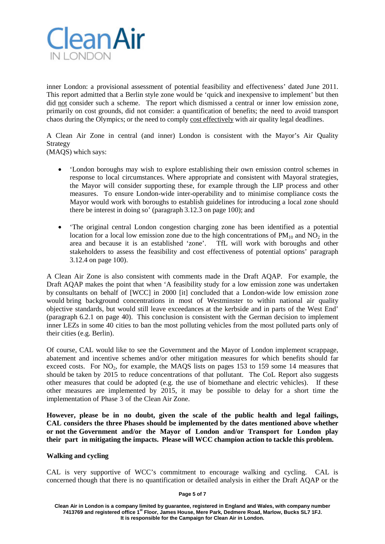

inner London: a provisional assessment of potential feasibility and effectiveness' dated June 2011. This report admitted that a Berlin style zone would be 'quick and inexpensive to implement' but then did not consider such a scheme. The report which dismissed a central or inner low emission zone, primarily on cost grounds, did not consider: a quantification of benefits; the need to avoid transport chaos during the Olympics; or the need to comply cost effectively with air quality legal deadlines.

A Clean Air Zone in central (and inner) London is consistent with the Mayor's Air Quality Strategy

(MAQS) which says:

- 'London boroughs may wish to explore establishing their own emission control schemes in response to local circumstances. Where appropriate and consistent with Mayoral strategies, the Mayor will consider supporting these, for example through the LIP process and other measures. To ensure London-wide inter-operability and to minimise compliance costs the Mayor would work with boroughs to establish guidelines for introducing a local zone should there be interest in doing so' (paragraph 3.12.3 on page 100); and
- 'The original central London congestion charging zone has been identified as a potential location for a local low emission zone due to the high concentrations of  $PM_{10}$  and  $NO<sub>2</sub>$  in the area and because it is an established 'zone'. TfL will work with boroughs and other stakeholders to assess the feasibility and cost effectiveness of potential options' paragraph 3.12.4 on page 100).

A Clean Air Zone is also consistent with comments made in the Draft AQAP. For example, the Draft AQAP makes the point that when 'A feasibility study for a low emission zone was undertaken by consultants on behalf of [WCC] in 2000 [it] concluded that a London-wide low emission zone would bring background concentrations in most of Westminster to within national air quality objective standards, but would still leave exceedances at the kerbside and in parts of the West End' (paragraph 6.2.1 on page 40). This conclusion is consistent with the German decision to implement inner LEZs in some 40 cities to ban the most polluting vehicles from the most polluted parts only of their cities (e.g. Berlin).

Of course, CAL would like to see the Government and the Mayor of London implement scrappage, abatement and incentive schemes and/or other mitigation measures for which benefits should far exceed costs. For  $NO<sub>2</sub>$ , for example, the MAOS lists on pages 153 to 159 some 14 measures that should be taken by 2015 to reduce concentrations of that pollutant. The CoL Report also suggests other measures that could be adopted (e.g. the use of biomethane and electric vehicles). If these other measures are implemented by 2015, it may be possible to delay for a short time the implementation of Phase 3 of the Clean Air Zone.

**However, please be in no doubt, given the scale of the public health and legal failings, CAL considers the three Phases should be implemented by the dates mentioned above whether or not the Government and/or the Mayor of London and/or Transport for London play their part in mitigating the impacts. Please will WCC champion action to tackle this problem.**

# **Walking and cycling**

CAL is very supportive of WCC's commitment to encourage walking and cycling. CAL is concerned though that there is no quantification or detailed analysis in either the Draft AQAP or the

#### **Page 5 of 7**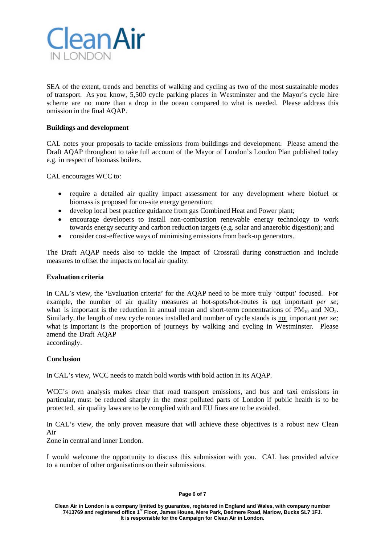

SEA of the extent, trends and benefits of walking and cycling as two of the most sustainable modes of transport. As you know, 5,500 cycle parking places in Westminster and the Mayor's cycle hire scheme are no more than a drop in the ocean compared to what is needed. Please address this omission in the final AQAP.

### **Buildings and development**

CAL notes your proposals to tackle emissions from buildings and development. Please amend the Draft AQAP throughout to take full account of the Mayor of London's London Plan published today e.g. in respect of biomass boilers.

CAL encourages WCC to:

- require a detailed air quality impact assessment for any development where biofuel or biomass is proposed for on-site energy generation;
- develop local best practice guidance from gas Combined Heat and Power plant;
- encourage developers to install non-combustion renewable energy technology to work towards energy security and carbon reduction targets (e.g. solar and anaerobic digestion); and
- consider cost-effective ways of minimising emissions from back-up generators.

The Draft AQAP needs also to tackle the impact of Crossrail during construction and include measures to offset the impacts on local air quality.

### **Evaluation criteria**

In CAL's view, the 'Evaluation criteria' for the AQAP need to be more truly 'output' focused. For example, the number of air quality measures at hot-spots/hot-routes is not important *per se*; what is important is the reduction in annual mean and short-term concentrations of  $PM_{10}$  and  $NO<sub>2</sub>$ . Similarly, the length of new cycle routes installed and number of cycle stands is not important *per se;* what is important is the proportion of journeys by walking and cycling in Westminster. Please amend the Draft AQAP accordingly.

## **Conclusion**

In CAL's view, WCC needs to match bold words with bold action in its AQAP.

WCC's own analysis makes clear that road transport emissions, and bus and taxi emissions in particular, must be reduced sharply in the most polluted parts of London if public health is to be protected, air quality laws are to be complied with and EU fines are to be avoided.

In CAL's view, the only proven measure that will achieve these objectives is a robust new Clean Air

Zone in central and inner London.

I would welcome the opportunity to discuss this submission with you. CAL has provided advice to a number of other organisations on their submissions.

#### **Page 6 of 7**